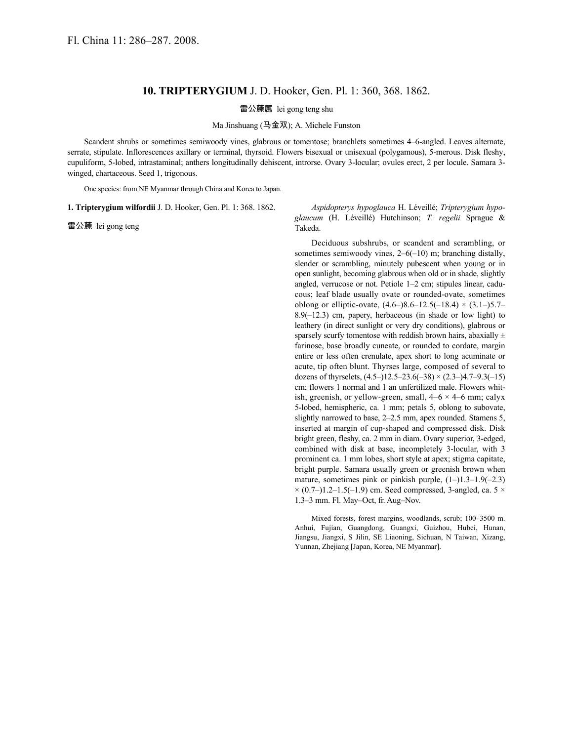## **10. TRIPTERYGIUM** J. D. Hooker, Gen. Pl. 1: 360, 368. 1862.

## 雷公藤属 lei gong teng shu

Ma Jinshuang (马金双); A. Michele Funston

Scandent shrubs or sometimes semiwoody vines, glabrous or tomentose; branchlets sometimes 4–6-angled. Leaves alternate, serrate, stipulate. Inflorescences axillary or terminal, thyrsoid. Flowers bisexual or unisexual (polygamous), 5-merous. Disk fleshy, cupuliform, 5-lobed, intrastaminal; anthers longitudinally dehiscent, introrse. Ovary 3-locular; ovules erect, 2 per locule. Samara 3 winged, chartaceous. Seed 1, trigonous.

One species: from NE Myanmar through China and Korea to Japan.

**1. Tripterygium wilfordii** J. D. Hooker, Gen. Pl. 1: 368. 1862.

雷公藤 lei gong teng

*Aspidopterys hypoglauca* H. Léveillé; *Tripterygium hypoglaucum* (H. Léveillé) Hutchinson; *T. regelii* Sprague & Takeda.

Deciduous subshrubs, or scandent and scrambling, or sometimes semiwoody vines, 2–6(–10) m; branching distally, slender or scrambling, minutely pubescent when young or in open sunlight, becoming glabrous when old or in shade, slightly angled, verrucose or not. Petiole 1–2 cm; stipules linear, caducous; leaf blade usually ovate or rounded-ovate, sometimes oblong or elliptic-ovate,  $(4.6-)8.6-12.5(-18.4) \times (3.1-)5.7-$ 8.9(–12.3) cm, papery, herbaceous (in shade or low light) to leathery (in direct sunlight or very dry conditions), glabrous or sparsely scurfy tomentose with reddish brown hairs, abaxially  $\pm$ farinose, base broadly cuneate, or rounded to cordate, margin entire or less often crenulate, apex short to long acuminate or acute, tip often blunt. Thyrses large, composed of several to dozens of thyrselets,  $(4.5-112.5-23.6(-38) \times (2.3-14.7-9.3(-15))$ cm; flowers 1 normal and 1 an unfertilized male. Flowers whitish, greenish, or yellow-green, small,  $4-6 \times 4-6$  mm; calyx 5-lobed, hemispheric, ca. 1 mm; petals 5, oblong to subovate, slightly narrowed to base, 2–2.5 mm, apex rounded. Stamens 5, inserted at margin of cup-shaped and compressed disk. Disk bright green, fleshy, ca. 2 mm in diam. Ovary superior, 3-edged, combined with disk at base, incompletely 3-locular, with 3 prominent ca. 1 mm lobes, short style at apex; stigma capitate, bright purple. Samara usually green or greenish brown when mature, sometimes pink or pinkish purple,  $(1–)1.3–1.9(-2.3)$  $\times$  (0.7–)1.2–1.5(–1.9) cm. Seed compressed, 3-angled, ca. 5  $\times$ 1.3–3 mm. Fl. May–Oct, fr. Aug–Nov.

Mixed forests, forest margins, woodlands, scrub; 100–3500 m. Anhui, Fujian, Guangdong, Guangxi, Guizhou, Hubei, Hunan, Jiangsu, Jiangxi, S Jilin, SE Liaoning, Sichuan, N Taiwan, Xizang, Yunnan, Zhejiang [Japan, Korea, NE Myanmar].